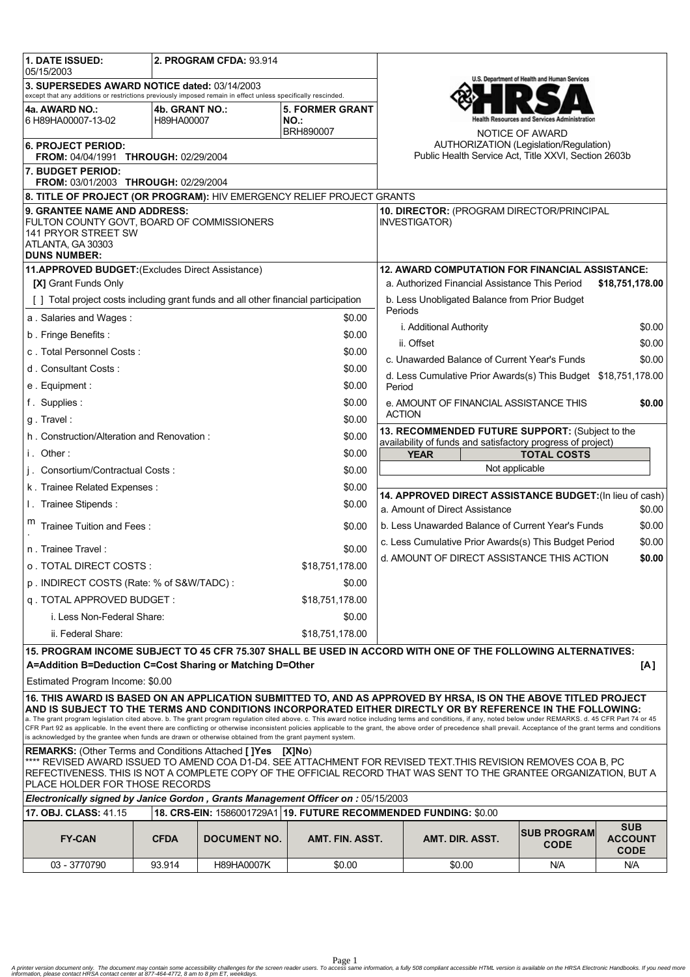| <b>1. DATE ISSUED:</b><br>05/15/2003                                                                                                                                                                                                                                                                                                                                                                                                                                                                                                                                                                                                                                                                                                                                          | 2. PROGRAM CFDA: 93.914 |                     |                                                      |                                                                                                                |                                              |                                                                 |                                             |
|-------------------------------------------------------------------------------------------------------------------------------------------------------------------------------------------------------------------------------------------------------------------------------------------------------------------------------------------------------------------------------------------------------------------------------------------------------------------------------------------------------------------------------------------------------------------------------------------------------------------------------------------------------------------------------------------------------------------------------------------------------------------------------|-------------------------|---------------------|------------------------------------------------------|----------------------------------------------------------------------------------------------------------------|----------------------------------------------|-----------------------------------------------------------------|---------------------------------------------|
| 3. SUPERSEDES AWARD NOTICE dated: 03/14/2003<br>except that any additions or restrictions previously imposed remain in effect unless specifically rescinded.                                                                                                                                                                                                                                                                                                                                                                                                                                                                                                                                                                                                                  |                         |                     |                                                      | U.S. Department of Health and Human Services                                                                   |                                              |                                                                 |                                             |
| 4a. AWARD NO.:                                                                                                                                                                                                                                                                                                                                                                                                                                                                                                                                                                                                                                                                                                                                                                | 4b. GRANT NO.:          |                     | <b>5. FORMER GRANT</b>                               |                                                                                                                |                                              |                                                                 |                                             |
| 6 H89HA00007-13-02                                                                                                                                                                                                                                                                                                                                                                                                                                                                                                                                                                                                                                                                                                                                                            | H89HA00007              |                     | NO.:<br>BRH890007                                    |                                                                                                                |                                              | lealth Resources and Services Administration<br>NOTICE OF AWARD |                                             |
| <b>6. PROJECT PERIOD:</b><br><b>FROM: 04/04/1991 THROUGH: 02/29/2004</b>                                                                                                                                                                                                                                                                                                                                                                                                                                                                                                                                                                                                                                                                                                      |                         |                     |                                                      | AUTHORIZATION (Legislation/Regulation)<br>Public Health Service Act, Title XXVI, Section 2603b                 |                                              |                                                                 |                                             |
| 7. BUDGET PERIOD:<br>FROM: 03/01/2003 THROUGH: 02/29/2004                                                                                                                                                                                                                                                                                                                                                                                                                                                                                                                                                                                                                                                                                                                     |                         |                     |                                                      |                                                                                                                |                                              |                                                                 |                                             |
| 8. TITLE OF PROJECT (OR PROGRAM): HIV EMERGENCY RELIEF PROJECT GRANTS                                                                                                                                                                                                                                                                                                                                                                                                                                                                                                                                                                                                                                                                                                         |                         |                     |                                                      |                                                                                                                |                                              |                                                                 |                                             |
| 9. GRANTEE NAME AND ADDRESS:<br>FULTON COUNTY GOVT, BOARD OF COMMISSIONERS<br>141 PRYOR STREET SW<br>ATLANTA, GA 30303<br><b>DUNS NUMBER:</b>                                                                                                                                                                                                                                                                                                                                                                                                                                                                                                                                                                                                                                 |                         |                     |                                                      | 10. DIRECTOR: (PROGRAM DIRECTOR/PRINCIPAL<br><b>INVESTIGATOR)</b>                                              |                                              |                                                                 |                                             |
| 11.APPROVED BUDGET: (Excludes Direct Assistance)                                                                                                                                                                                                                                                                                                                                                                                                                                                                                                                                                                                                                                                                                                                              |                         |                     |                                                      | <b>12. AWARD COMPUTATION FOR FINANCIAL ASSISTANCE:</b>                                                         |                                              |                                                                 |                                             |
| <b>[X] Grant Funds Only</b>                                                                                                                                                                                                                                                                                                                                                                                                                                                                                                                                                                                                                                                                                                                                                   |                         |                     |                                                      | a. Authorized Financial Assistance This Period<br>\$18,751,178.00                                              |                                              |                                                                 |                                             |
| [] Total project costs including grant funds and all other financial participation                                                                                                                                                                                                                                                                                                                                                                                                                                                                                                                                                                                                                                                                                            |                         |                     |                                                      | b. Less Unobligated Balance from Prior Budget<br>Periods                                                       |                                              |                                                                 |                                             |
| a. Salaries and Wages:<br>\$0.00                                                                                                                                                                                                                                                                                                                                                                                                                                                                                                                                                                                                                                                                                                                                              |                         |                     |                                                      | i. Additional Authority<br>\$0.00                                                                              |                                              |                                                                 |                                             |
| b. Fringe Benefits:<br>\$0.00                                                                                                                                                                                                                                                                                                                                                                                                                                                                                                                                                                                                                                                                                                                                                 |                         |                     |                                                      | ii. Offset<br>\$0.00                                                                                           |                                              |                                                                 |                                             |
| c. Total Personnel Costs:<br>\$0.00                                                                                                                                                                                                                                                                                                                                                                                                                                                                                                                                                                                                                                                                                                                                           |                         |                     |                                                      |                                                                                                                | c. Unawarded Balance of Current Year's Funds |                                                                 | \$0.00                                      |
| d. Consultant Costs:<br>\$0.00                                                                                                                                                                                                                                                                                                                                                                                                                                                                                                                                                                                                                                                                                                                                                |                         |                     |                                                      | d. Less Cumulative Prior Awards(s) This Budget \$18,751,178.00                                                 |                                              |                                                                 |                                             |
| e. Equipment:<br>\$0.00                                                                                                                                                                                                                                                                                                                                                                                                                                                                                                                                                                                                                                                                                                                                                       |                         |                     |                                                      | Period                                                                                                         |                                              |                                                                 |                                             |
| f. Supplies:                                                                                                                                                                                                                                                                                                                                                                                                                                                                                                                                                                                                                                                                                                                                                                  |                         |                     | \$0.00                                               | e. AMOUNT OF FINANCIAL ASSISTANCE THIS<br>\$0.00                                                               |                                              |                                                                 |                                             |
| \$0.00<br>g. Travel:                                                                                                                                                                                                                                                                                                                                                                                                                                                                                                                                                                                                                                                                                                                                                          |                         |                     |                                                      | <b>ACTION</b>                                                                                                  |                                              |                                                                 |                                             |
| \$0.00<br>h. Construction/Alteration and Renovation:                                                                                                                                                                                                                                                                                                                                                                                                                                                                                                                                                                                                                                                                                                                          |                         |                     |                                                      | 13. RECOMMENDED FUTURE SUPPORT: (Subject to the<br>availability of funds and satisfactory progress of project) |                                              |                                                                 |                                             |
| i. Other:<br>\$0.00                                                                                                                                                                                                                                                                                                                                                                                                                                                                                                                                                                                                                                                                                                                                                           |                         |                     |                                                      | <b>TOTAL COSTS</b><br><b>YEAR</b>                                                                              |                                              |                                                                 |                                             |
| j. Consortium/Contractual Costs:                                                                                                                                                                                                                                                                                                                                                                                                                                                                                                                                                                                                                                                                                                                                              |                         |                     | \$0.00                                               | Not applicable                                                                                                 |                                              |                                                                 |                                             |
| \$0.00<br>k. Trainee Related Expenses:                                                                                                                                                                                                                                                                                                                                                                                                                                                                                                                                                                                                                                                                                                                                        |                         |                     |                                                      |                                                                                                                |                                              |                                                                 |                                             |
| I. Trainee Stipends:                                                                                                                                                                                                                                                                                                                                                                                                                                                                                                                                                                                                                                                                                                                                                          |                         |                     | \$0.00                                               | 14. APPROVED DIRECT ASSISTANCE BUDGET: (In lieu of cash)<br>a. Amount of Direct Assistance<br>\$0.00           |                                              |                                                                 |                                             |
| Trainee Tuition and Fees:                                                                                                                                                                                                                                                                                                                                                                                                                                                                                                                                                                                                                                                                                                                                                     |                         |                     | \$0.00                                               | b. Less Unawarded Balance of Current Year's Funds<br>\$0.00                                                    |                                              |                                                                 |                                             |
| \$0.00<br>n. Trainee Travel:                                                                                                                                                                                                                                                                                                                                                                                                                                                                                                                                                                                                                                                                                                                                                  |                         |                     |                                                      | c. Less Cumulative Prior Awards(s) This Budget Period<br>\$0.00                                                |                                              |                                                                 |                                             |
| \$18,751,178.00<br>o . TOTAL DIRECT COSTS :                                                                                                                                                                                                                                                                                                                                                                                                                                                                                                                                                                                                                                                                                                                                   |                         |                     | d. AMOUNT OF DIRECT ASSISTANCE THIS ACTION<br>\$0.00 |                                                                                                                |                                              |                                                                 |                                             |
| p. INDIRECT COSTS (Rate: % of S&W/TADC):<br>\$0.00                                                                                                                                                                                                                                                                                                                                                                                                                                                                                                                                                                                                                                                                                                                            |                         |                     |                                                      |                                                                                                                |                                              |                                                                 |                                             |
| q. TOTAL APPROVED BUDGET:                                                                                                                                                                                                                                                                                                                                                                                                                                                                                                                                                                                                                                                                                                                                                     |                         |                     | \$18,751,178.00                                      |                                                                                                                |                                              |                                                                 |                                             |
| i. Less Non-Federal Share:                                                                                                                                                                                                                                                                                                                                                                                                                                                                                                                                                                                                                                                                                                                                                    |                         |                     | \$0.00                                               |                                                                                                                |                                              |                                                                 |                                             |
| ii. Federal Share:                                                                                                                                                                                                                                                                                                                                                                                                                                                                                                                                                                                                                                                                                                                                                            |                         |                     | \$18,751,178.00                                      |                                                                                                                |                                              |                                                                 |                                             |
| 15. PROGRAM INCOME SUBJECT TO 45 CFR 75.307 SHALL BE USED IN ACCORD WITH ONE OF THE FOLLOWING ALTERNATIVES:<br>A=Addition B=Deduction C=Cost Sharing or Matching D=Other<br>[A]                                                                                                                                                                                                                                                                                                                                                                                                                                                                                                                                                                                               |                         |                     |                                                      |                                                                                                                |                                              |                                                                 |                                             |
| Estimated Program Income: \$0.00                                                                                                                                                                                                                                                                                                                                                                                                                                                                                                                                                                                                                                                                                                                                              |                         |                     |                                                      |                                                                                                                |                                              |                                                                 |                                             |
| 16. THIS AWARD IS BASED ON AN APPLICATION SUBMITTED TO, AND AS APPROVED BY HRSA, IS ON THE ABOVE TITLED PROJECT<br>AND IS SUBJECT TO THE TERMS AND CONDITIONS INCORPORATED EITHER DIRECTLY OR BY REFERENCE IN THE FOLLOWING:<br>a. The grant program legislation cited above. b. The grant program regulation cited above. c. This award notice including terms and conditions, if any, noted below under REMARKS. d. 45 CFR Part 74 or 45<br>CFR Part 92 as applicable. In the event there are conflicting or otherwise inconsistent policies applicable to the grant, the above order of precedence shall prevail. Acceptance of the grant terms and conditions<br>is acknowledged by the grantee when funds are drawn or otherwise obtained from the grant payment system. |                         |                     |                                                      |                                                                                                                |                                              |                                                                 |                                             |
| <b>REMARKS:</b> (Other Terms and Conditions Attached [ <b>]Yes</b> [X <b>]No</b> )<br>**** REVISED AWARD ISSUED TO AMEND COA D1-D4. SEE ATTACHMENT FOR REVISED TEXT.THIS REVISION REMOVES COA B, PC<br>REFECTIVENESS. THIS IS NOT A COMPLETE COPY OF THE OFFICIAL RECORD THAT WAS SENT TO THE GRANTEE ORGANIZATION, BUT A<br>PLACE HOLDER FOR THOSE RECORDS                                                                                                                                                                                                                                                                                                                                                                                                                   |                         |                     |                                                      |                                                                                                                |                                              |                                                                 |                                             |
| Electronically signed by Janice Gordon, Grants Management Officer on : 05/15/2003                                                                                                                                                                                                                                                                                                                                                                                                                                                                                                                                                                                                                                                                                             |                         |                     |                                                      |                                                                                                                |                                              |                                                                 |                                             |
| 17. OBJ. CLASS: 41.15<br>18. CRS-EIN: 1586001729A1   19. FUTURE RECOMMENDED FUNDING: \$0.00                                                                                                                                                                                                                                                                                                                                                                                                                                                                                                                                                                                                                                                                                   |                         |                     |                                                      |                                                                                                                |                                              |                                                                 |                                             |
| <b>FY-CAN</b>                                                                                                                                                                                                                                                                                                                                                                                                                                                                                                                                                                                                                                                                                                                                                                 | <b>CFDA</b>             | <b>DOCUMENT NO.</b> | AMT. FIN. ASST.                                      |                                                                                                                | AMT. DIR. ASST.                              | <b>ISUB PROGRAM</b><br><b>CODE</b>                              | <b>SUB</b><br><b>ACCOUNT</b><br><b>CODE</b> |
| 03 - 3770790                                                                                                                                                                                                                                                                                                                                                                                                                                                                                                                                                                                                                                                                                                                                                                  | 93.914                  | <b>H89HA0007K</b>   | \$0.00                                               |                                                                                                                | \$0.00                                       | N/A                                                             | N/A                                         |